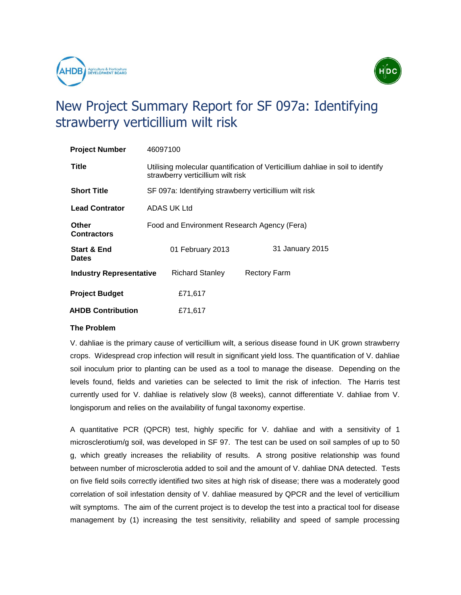



# New Project Summary Report for SF 097a: Identifying strawberry verticillium wilt risk

| <b>Project Number</b>                  | 46097100                                                                                                            |                     |
|----------------------------------------|---------------------------------------------------------------------------------------------------------------------|---------------------|
| <b>Title</b>                           | Utilising molecular quantification of Verticillium dahliae in soil to identify<br>strawberry verticillium wilt risk |                     |
| <b>Short Title</b>                     | SF 097a: Identifying strawberry verticillium wilt risk                                                              |                     |
| <b>Lead Contrator</b>                  | ADAS UK Ltd                                                                                                         |                     |
| <b>Other</b><br><b>Contractors</b>     | Food and Environment Research Agency (Fera)                                                                         |                     |
| <b>Start &amp; End</b><br><b>Dates</b> | 01 February 2013                                                                                                    | 31 January 2015     |
| <b>Industry Representative</b>         | <b>Richard Stanley</b>                                                                                              | <b>Rectory Farm</b> |
| <b>Project Budget</b>                  | £71,617                                                                                                             |                     |
| <b>AHDB Contribution</b>               | £71,617                                                                                                             |                     |

# **The Problem**

V. dahliae is the primary cause of verticillium wilt, a serious disease found in UK grown strawberry crops. Widespread crop infection will result in significant yield loss. The quantification of V. dahliae soil inoculum prior to planting can be used as a tool to manage the disease. Depending on the levels found, fields and varieties can be selected to limit the risk of infection. The Harris test currently used for V. dahliae is relatively slow (8 weeks), cannot differentiate V. dahliae from V. longisporum and relies on the availability of fungal taxonomy expertise.

A quantitative PCR (QPCR) test, highly specific for V. dahliae and with a sensitivity of 1 microsclerotium/g soil, was developed in SF 97. The test can be used on soil samples of up to 50 g, which greatly increases the reliability of results. A strong positive relationship was found between number of microsclerotia added to soil and the amount of V. dahliae DNA detected. Tests on five field soils correctly identified two sites at high risk of disease; there was a moderately good correlation of soil infestation density of V. dahliae measured by QPCR and the level of verticillium wilt symptoms. The aim of the current project is to develop the test into a practical tool for disease management by (1) increasing the test sensitivity, reliability and speed of sample processing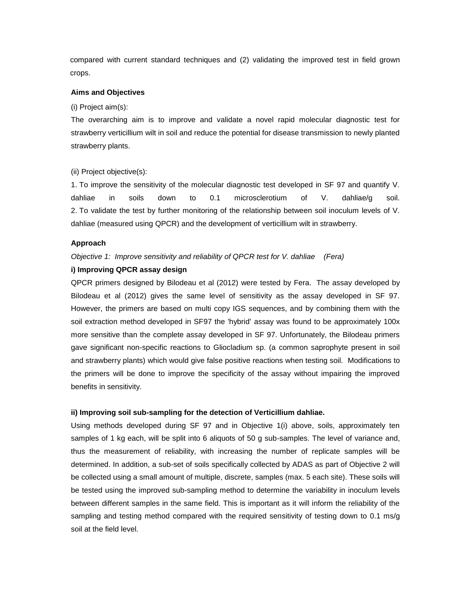compared with current standard techniques and (2) validating the improved test in field grown crops.

### **Aims and Objectives**

(i) Project aim(s):

The overarching aim is to improve and validate a novel rapid molecular diagnostic test for strawberry verticillium wilt in soil and reduce the potential for disease transmission to newly planted strawberry plants.

#### (ii) Project objective(s):

1. To improve the sensitivity of the molecular diagnostic test developed in SF 97 and quantify V. dahliae in soils down to 0.1 microsclerotium of V. dahliae/g soil. 2. To validate the test by further monitoring of the relationship between soil inoculum levels of V. dahliae (measured using QPCR) and the development of verticillium wilt in strawberry.

#### **Approach**

# *Objective 1: Improve sensitivity and reliability of QPCR test for V. dahliae (Fera)*

# **i) Improving QPCR assay design**

QPCR primers designed by Bilodeau et al (2012) were tested by Fera. The assay developed by Bilodeau et al (2012) gives the same level of sensitivity as the assay developed in SF 97. However, the primers are based on multi copy IGS sequences, and by combining them with the soil extraction method developed in SF97 the 'hybrid' assay was found to be approximately 100x more sensitive than the complete assay developed in SF 97. Unfortunately, the Bilodeau primers gave significant non-specific reactions to Gliocladium sp. (a common saprophyte present in soil and strawberry plants) which would give false positive reactions when testing soil. Modifications to the primers will be done to improve the specificity of the assay without impairing the improved benefits in sensitivity.

#### **ii) Improving soil sub-sampling for the detection of Verticillium dahliae.**

Using methods developed during SF 97 and in Objective 1(i) above, soils, approximately ten samples of 1 kg each, will be split into 6 aliquots of 50 g sub-samples. The level of variance and, thus the measurement of reliability, with increasing the number of replicate samples will be determined. In addition, a sub-set of soils specifically collected by ADAS as part of Objective 2 will be collected using a small amount of multiple, discrete, samples (max. 5 each site). These soils will be tested using the improved sub-sampling method to determine the variability in inoculum levels between different samples in the same field. This is important as it will inform the reliability of the sampling and testing method compared with the required sensitivity of testing down to 0.1 ms/g soil at the field level.